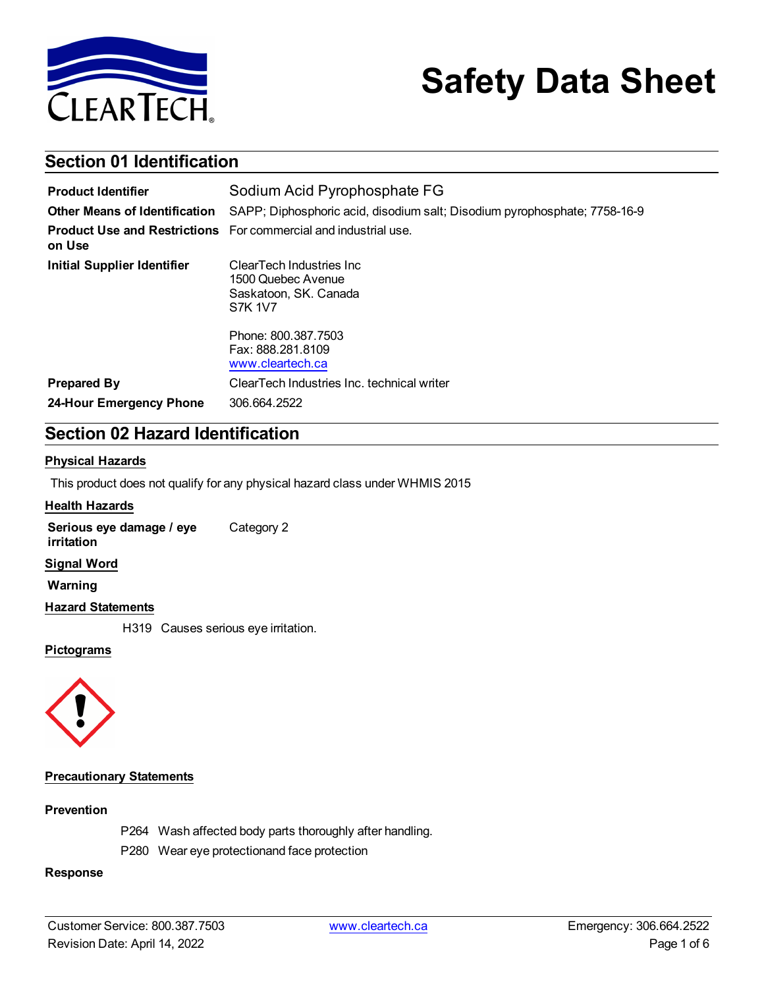

# **Safety Data Sheet**

# **Section 01 Identification**

| <b>Product Identifier</b>            | Sodium Acid Pyrophosphate FG                                                                                                                               |
|--------------------------------------|------------------------------------------------------------------------------------------------------------------------------------------------------------|
| <b>Other Means of Identification</b> | SAPP; Diphosphoric acid, disodium salt; Disodium pyrophosphate; 7758-16-9                                                                                  |
| on Use                               | <b>Product Use and Restrictions</b> For commercial and industrial use.                                                                                     |
| <b>Initial Supplier Identifier</b>   | ClearTech Industries Inc.<br>1500 Quebec Avenue<br>Saskatoon, SK. Canada<br><b>S7K 1V7</b><br>Phone: 800.387.7503<br>Fax: 888.281.8109<br>www.cleartech.ca |
| <b>Prepared By</b>                   | ClearTech Industries Inc. technical writer                                                                                                                 |
| 24-Hour Emergency Phone              | 306.664.2522                                                                                                                                               |

# **Section 02 Hazard Identification**

#### **Physical Hazards**

This product does not qualify for any physical hazard class under WHMIS 2015

#### **Health Hazards**

**Serious eye damage / eye irritation** Category 2

#### **Signal Word**

**Warning**

#### **Hazard Statements**

H319 Causes serious eye irritation.

#### **Pictograms**



#### **Precautionary Statements**

#### **Prevention**

- P264 Wash affected body parts thoroughly after handling.
- P280 Wear eye protectionand face protection

#### **Response**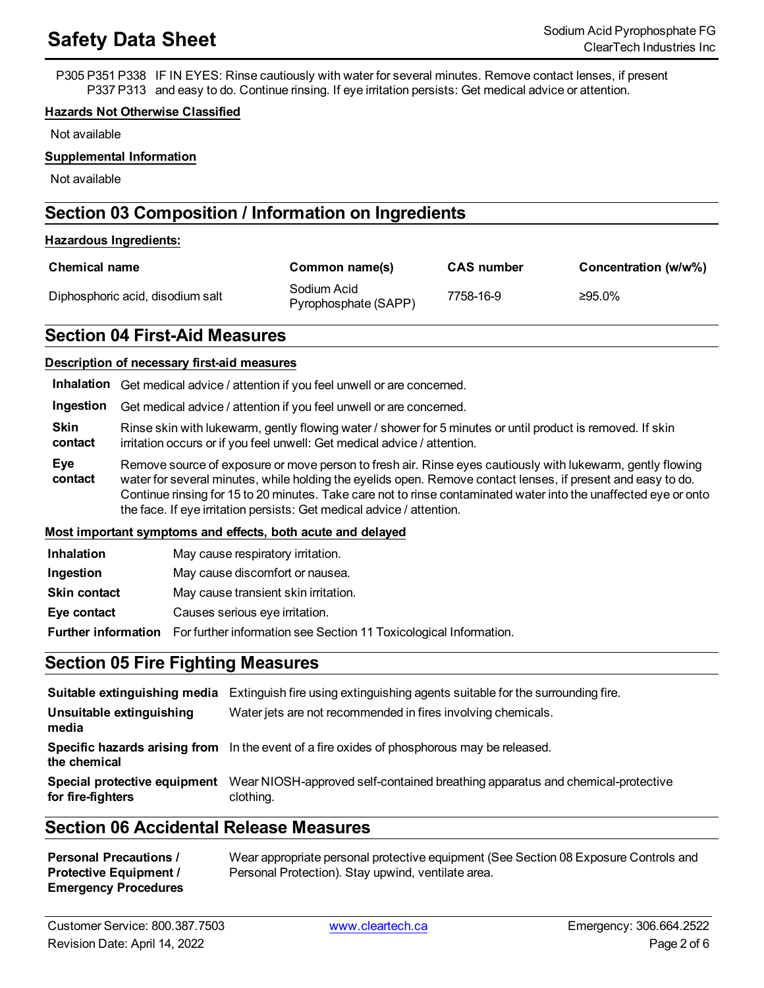P305 P351 P338 IF IN EYES: Rinse cautiously with water for several minutes. Remove contact lenses, if present P337 P313 and easy to do. Continue rinsing. If eye irritation persists: Get medical advice or attention.

#### **Hazards Not Otherwise Classified**

Not available

#### **Supplemental Information**

Not available

# **Section 03 Composition / Information on Ingredients**

#### **Hazardous Ingredients:**

| <b>Chemical name</b>             | Common name(s)                      | <b>CAS</b> number | Concentration (w/w%) |
|----------------------------------|-------------------------------------|-------------------|----------------------|
| Diphosphoric acid, disodium salt | Sodium Acid<br>Pyrophosphate (SAPP) | 7758-16-9         | ≥95.0%               |

## **Section 04 First-Aid Measures**

#### **Description of necessary first-aid measures**

**Ingestion** Get medical advice / attention if you feel unwell or are concerned.

**Skin contact** Rinse skin with lukewarm, gently flowing water / shower for 5 minutes or until product is removed. If skin irritation occurs or if you feel unwell: Get medical advice / attention.

**Eye contact** Remove source of exposure or move person to fresh air. Rinse eyes cautiously with lukewarm, gently flowing water for several minutes, while holding the eyelids open. Remove contact lenses, if present and easy to do. Continue rinsing for 15 to 20 minutes. Take care not to rinse contaminated water into the unaffected eye or onto the face. If eye irritation persists: Get medical advice / attention.

#### **Most important symptoms and effects, both acute and delayed**

| <b>Inhalation</b>   | May cause respiratory irritation.    |  |  |
|---------------------|--------------------------------------|--|--|
| Ingestion           | May cause discomfort or nausea.      |  |  |
| <b>Skin contact</b> | May cause transient skin irritation. |  |  |
|                     |                                      |  |  |

**Eye contact** Causes serious eye irritation.

**Further information** For further information see Section 11 Toxicological Information.

### **Section 05 Fire Fighting Measures**

| Suitable extinguishing media                      | Extinguish fire using extinguishing agents suitable for the surrounding fire.               |
|---------------------------------------------------|---------------------------------------------------------------------------------------------|
| Unsuitable extinguishing<br>media                 | Water jets are not recommended in fires involving chemicals.                                |
| the chemical                                      | Specific hazards arising from In the event of a fire oxides of phosphorous may be released. |
| Special protective equipment<br>for fire-fighters | Wear NIOSH-approved self-contained breathing apparatus and chemical-protective<br>clothing. |

# **Section 06 Accidental Release Measures**

**Personal Precautions / Protective Equipment / Emergency Procedures** Wear appropriate personal protective equipment (See Section 08 Exposure Controls and Personal Protection). Stay upwind, ventilate area.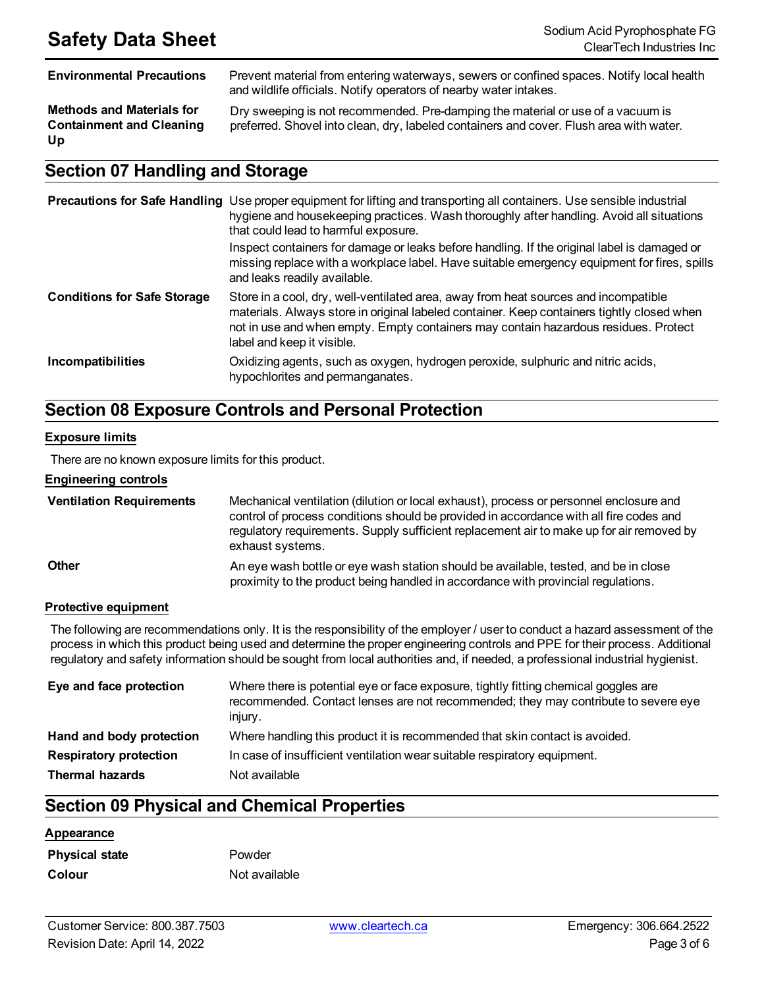**Methods and Materials for Containment and Cleaning Up**

**Environmental Precautions** Prevent material from entering waterways, sewers or confined spaces. Notify local health and wildlife officials. Notify operators of nearby water intakes.

> Dry sweeping is not recommended. Pre-damping the material or use of a vacuum is preferred. Shovel into clean, dry, labeled containers and cover. Flush area with water.

# **Section 07 Handling and Storage**

|                                    | <b>Precautions for Safe Handling</b> Use proper equipment for lifting and transporting all containers. Use sensible industrial<br>hygiene and housekeeping practices. Wash thoroughly after handling. Avoid all situations<br>that could lead to harmful exposure.                                     |
|------------------------------------|--------------------------------------------------------------------------------------------------------------------------------------------------------------------------------------------------------------------------------------------------------------------------------------------------------|
|                                    | Inspect containers for damage or leaks before handling. If the original label is damaged or<br>missing replace with a workplace label. Have suitable emergency equipment for fires, spills<br>and leaks readily available.                                                                             |
| <b>Conditions for Safe Storage</b> | Store in a cool, dry, well-ventilated area, away from heat sources and incompatible<br>materials. Always store in original labeled container. Keep containers tightly closed when<br>not in use and when empty. Empty containers may contain hazardous residues. Protect<br>label and keep it visible. |
| <b>Incompatibilities</b>           | Oxidizing agents, such as oxygen, hydrogen peroxide, sulphuric and nitric acids,<br>hypochlorites and permanganates.                                                                                                                                                                                   |

# **Section 08 Exposure Controls and Personal Protection**

#### **Exposure limits**

There are no known exposure limits for this product.

#### **Engineering controls**

| <b>Ventilation Requirements</b> | Mechanical ventilation (dilution or local exhaust), process or personnel enclosure and<br>control of process conditions should be provided in accordance with all fire codes and<br>regulatory requirements. Supply sufficient replacement air to make up for air removed by<br>exhaust systems. |
|---------------------------------|--------------------------------------------------------------------------------------------------------------------------------------------------------------------------------------------------------------------------------------------------------------------------------------------------|
| <b>Other</b>                    | An eye wash bottle or eye wash station should be available, tested, and be in close<br>proximity to the product being handled in accordance with provincial regulations.                                                                                                                         |

#### **Protective equipment**

The following are recommendations only. It is the responsibility of the employer / user to conduct a hazard assessment of the process in which this product being used and determine the proper engineering controls and PPE for their process. Additional regulatory and safety information should be sought from local authorities and, if needed, a professional industrial hygienist.

| Eye and face protection       | Where there is potential eye or face exposure, tightly fitting chemical goggles are<br>recommended. Contact lenses are not recommended; they may contribute to severe eye<br>injury. |
|-------------------------------|--------------------------------------------------------------------------------------------------------------------------------------------------------------------------------------|
| Hand and body protection      | Where handling this product it is recommended that skin contact is avoided.                                                                                                          |
| <b>Respiratory protection</b> | In case of insufficient ventilation wear suitable respiratory equipment.                                                                                                             |
| <b>Thermal hazards</b>        | Not available                                                                                                                                                                        |

# **Section 09 Physical and Chemical Properties**

#### **Appearance**

| <b>Physical state</b> | Powder  |
|-----------------------|---------|
| <b>Colour</b>         | Not ava |

*<u>Available</u>*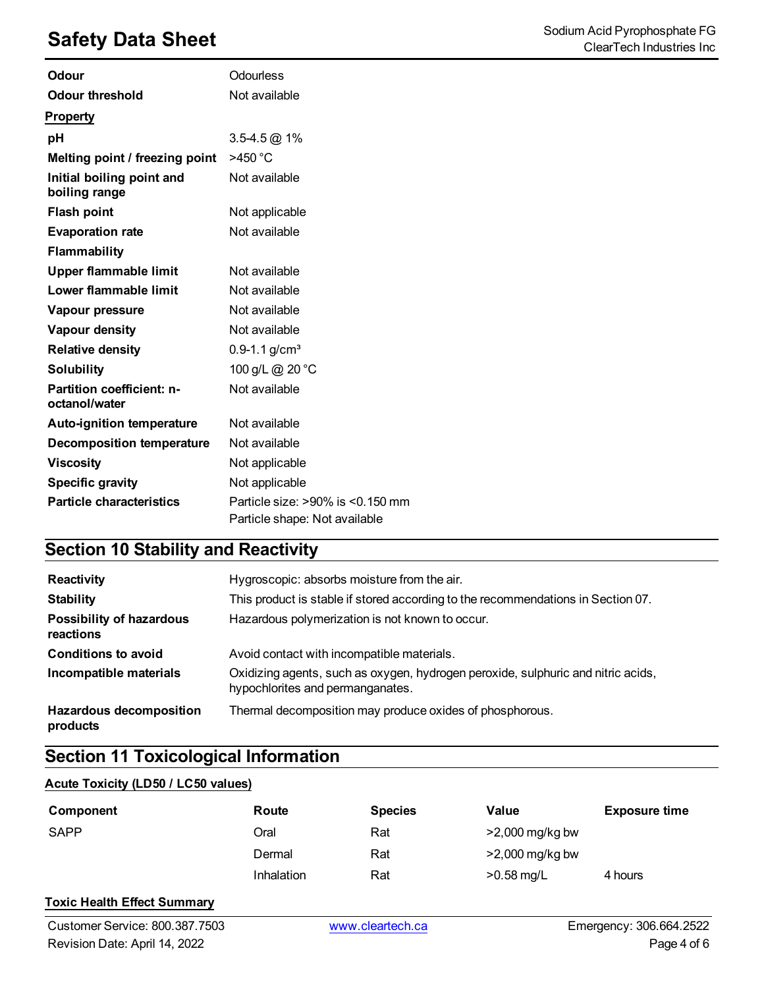| <b>Odour</b>                               | <b>Odourless</b>                                                        |
|--------------------------------------------|-------------------------------------------------------------------------|
| <b>Odour threshold</b>                     | Not available                                                           |
| <b>Property</b>                            |                                                                         |
| pH                                         | $3.5 - 4.5 \omega$ 1%                                                   |
| Melting point / freezing point             | >450 °C                                                                 |
| Initial boiling point and<br>boiling range | Not available                                                           |
| <b>Flash point</b>                         | Not applicable                                                          |
| <b>Evaporation rate</b>                    | Not available                                                           |
| <b>Flammability</b>                        |                                                                         |
| Upper flammable limit                      | Not available                                                           |
| Lower flammable limit                      | Not available                                                           |
| Vapour pressure                            | Not available                                                           |
| Vapour density                             | Not available                                                           |
| <b>Relative density</b>                    | $0.9 - 1.1$ g/cm <sup>3</sup>                                           |
| <b>Solubility</b>                          | 100 g/L @ 20 °C                                                         |
| Partition coefficient: n-<br>octanol/water | Not available                                                           |
| Auto-ignition temperature                  | Not available                                                           |
| <b>Decomposition temperature</b>           | Not available                                                           |
| <b>Viscosity</b>                           | Not applicable                                                          |
| <b>Specific gravity</b>                    | Not applicable                                                          |
| <b>Particle characteristics</b>            | Particle size: $>90\%$ is $< 0.150$ mm<br>Particle shape: Not available |

# **Section 10 Stability and Reactivity**

| Reactivity                                   | Hygroscopic: absorbs moisture from the air.                                                                          |
|----------------------------------------------|----------------------------------------------------------------------------------------------------------------------|
| <b>Stability</b>                             | This product is stable if stored according to the recommendations in Section 07.                                     |
| <b>Possibility of hazardous</b><br>reactions | Hazardous polymerization is not known to occur.                                                                      |
| <b>Conditions to avoid</b>                   | Avoid contact with incompatible materials.                                                                           |
| Incompatible materials                       | Oxidizing agents, such as oxygen, hydrogen peroxide, sulphuric and nitric acids,<br>hypochlorites and permanganates. |
| <b>Hazardous decomposition</b><br>products   | Thermal decomposition may produce oxides of phosphorous.                                                             |

# **Section 11 Toxicological Information**

#### **Acute Toxicity (LD50 / LC50 values)**

| Component   | Route      | <b>Species</b> | Value           | <b>Exposure time</b> |
|-------------|------------|----------------|-----------------|----------------------|
| <b>SAPP</b> | Oral       | Rat            | >2,000 mg/kg bw |                      |
|             | Dermal     | Rat            | >2,000 mg/kg bw |                      |
|             | Inhalation | Rat            | $>0.58$ mg/L    | 4 hours              |

#### **Toxic Health Effect Summary**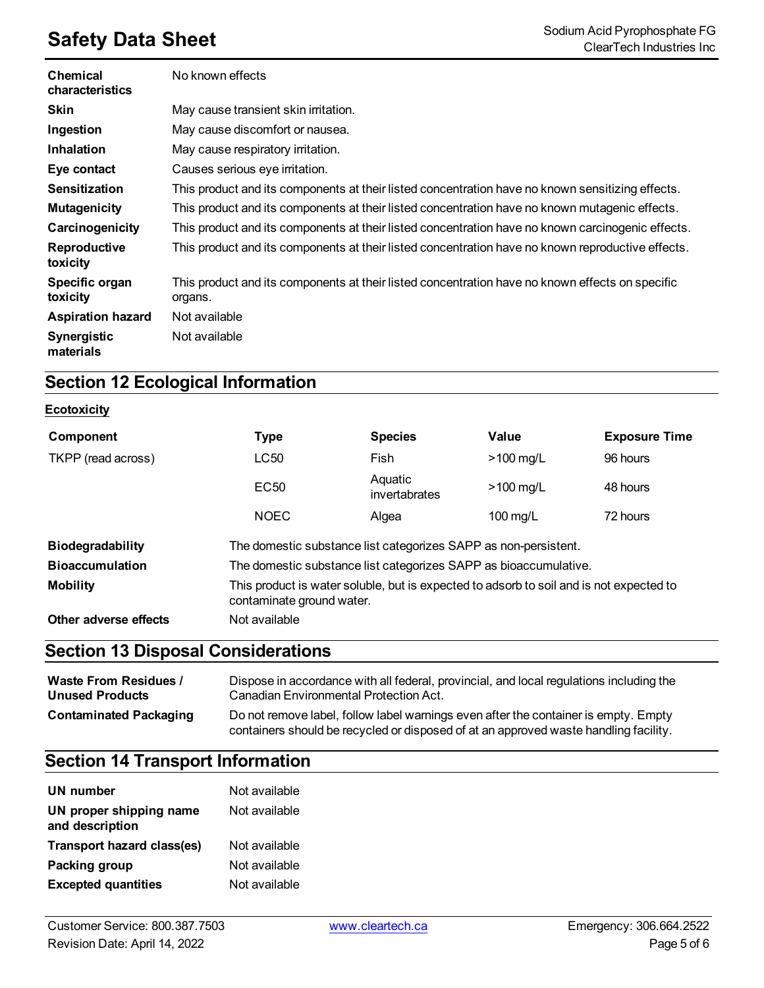| <b>Chemical</b><br>characteristics | No known effects                                                                                           |
|------------------------------------|------------------------------------------------------------------------------------------------------------|
| <b>Skin</b>                        | May cause transient skin irritation.                                                                       |
| Ingestion                          | May cause discomfort or nausea.                                                                            |
| <b>Inhalation</b>                  | May cause respiratory irritation.                                                                          |
| Eye contact                        | Causes serious eye irritation.                                                                             |
| <b>Sensitization</b>               | This product and its components at their listed concentration have no known sensitizing effects.           |
| <b>Mutagenicity</b>                | This product and its components at their listed concentration have no known mutagenic effects.             |
| Carcinogenicity                    | This product and its components at their listed concentration have no known carcinogenic effects.          |
| Reproductive<br>toxicity           | This product and its components at their listed concentration have no known reproductive effects.          |
| Specific organ<br>toxicity         | This product and its components at their listed concentration have no known effects on specific<br>organs. |
| <b>Aspiration hazard</b>           | Not available                                                                                              |
| <b>Synergistic</b><br>materials    | Not available                                                                                              |

# **Section 12 Ecological Information**

### **Ecotoxicity**

| Component               | Type                                                                                                                 | <b>Species</b>           | Value              | <b>Exposure Time</b> |  |
|-------------------------|----------------------------------------------------------------------------------------------------------------------|--------------------------|--------------------|----------------------|--|
| TKPP (read across)      | LC50                                                                                                                 | Fish                     | $>100$ mg/L        | 96 hours             |  |
|                         | EC <sub>50</sub>                                                                                                     | Aquatic<br>invertabrates | $>100$ mg/L        | 48 hours             |  |
|                         | <b>NOEC</b>                                                                                                          | Algea                    | $100 \text{ mg/L}$ | 72 hours             |  |
| <b>Biodegradability</b> | The domestic substance list categorizes SAPP as non-persistent.                                                      |                          |                    |                      |  |
| <b>Bioaccumulation</b>  | The domestic substance list categorizes SAPP as bioaccumulative.                                                     |                          |                    |                      |  |
| <b>Mobility</b>         | This product is water soluble, but is expected to adsorb to soil and is not expected to<br>contaminate ground water. |                          |                    |                      |  |
| Other adverse effects   | Not available                                                                                                        |                          |                    |                      |  |

# **Section 13 Disposal Considerations**

| <b>Waste From Residues /</b>  | Dispose in accordance with all federal, provincial, and local regulations including the                                                                                     |
|-------------------------------|-----------------------------------------------------------------------------------------------------------------------------------------------------------------------------|
| <b>Unused Products</b>        | Canadian Environmental Protection Act.                                                                                                                                      |
| <b>Contaminated Packaging</b> | Do not remove label, follow label warnings even after the container is empty. Empty<br>containers should be recycled or disposed of at an approved waste handling facility. |

# **Section 14 Transport Information**

| UN number                                  | Not available |
|--------------------------------------------|---------------|
| UN proper shipping name<br>and description | Not available |
| Transport hazard class(es)                 | Not available |
| Packing group                              | Not available |
| <b>Excepted quantities</b>                 | Not available |